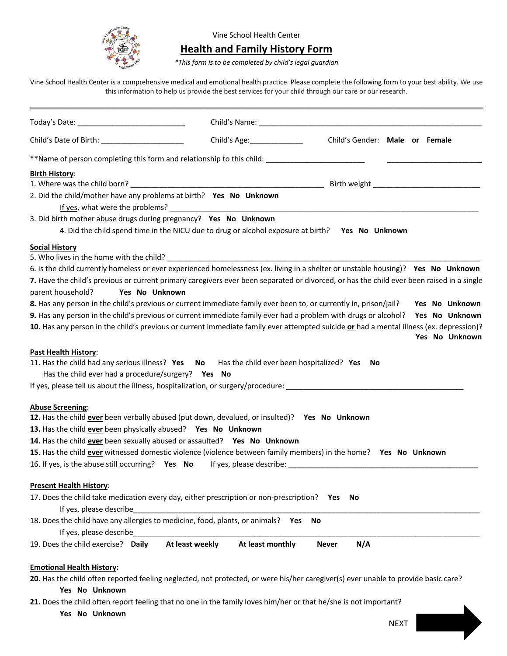

## Vine School Health Center

## **Health and Family History Form**

*\*This form is to be completed by child's legal guardian*

Vine School Health Center is a comprehensive medical and emotional health practice. Please complete the following form to your best ability. We use this information to help us provide the best services for your child through our care or our research.

| Child's Date of Birth: ______________________                                                                                                                                                                                  | Child's Age: The Child's Age:                                                                    | Child's Gender: Male or Female |                |
|--------------------------------------------------------------------------------------------------------------------------------------------------------------------------------------------------------------------------------|--------------------------------------------------------------------------------------------------|--------------------------------|----------------|
| **Name of person completing this form and relationship to this child:                                                                                                                                                          |                                                                                                  |                                |                |
| <b>Birth History:</b>                                                                                                                                                                                                          |                                                                                                  |                                |                |
| 1. Where was the child born? Note as the child born? The contract of the contract of the child born? The contract of the child born and contract of the child born of the child born of the child born of the child born of th |                                                                                                  |                                |                |
| 2. Did the child/mother have any problems at birth? Yes No Unknown<br>If yes, what were the problems?                                                                                                                          |                                                                                                  |                                |                |
| 3. Did birth mother abuse drugs during pregnancy? Yes No Unknown                                                                                                                                                               |                                                                                                  |                                |                |
|                                                                                                                                                                                                                                | 4. Did the child spend time in the NICU due to drug or alcohol exposure at birth? Yes No Unknown |                                |                |
| <b>Social History</b>                                                                                                                                                                                                          |                                                                                                  |                                |                |
|                                                                                                                                                                                                                                |                                                                                                  |                                |                |
| 6. Is the child currently homeless or ever experienced homelessness (ex. living in a shelter or unstable housing)? Yes No Unknown                                                                                              |                                                                                                  |                                |                |
| 7. Have the child's previous or current primary caregivers ever been separated or divorced, or has the child ever been raised in a single                                                                                      |                                                                                                  |                                |                |
| Yes No Unknown<br>parent household?                                                                                                                                                                                            |                                                                                                  |                                |                |
| 8. Has any person in the child's previous or current immediate family ever been to, or currently in, prison/jail?                                                                                                              |                                                                                                  |                                | Yes No Unknown |
| 9. Has any person in the child's previous or current immediate family ever had a problem with drugs or alcohol? Yes No Unknown                                                                                                 |                                                                                                  |                                |                |
| 10. Has any person in the child's previous or current immediate family ever attempted suicide or had a mental illness (ex. depression)?                                                                                        |                                                                                                  |                                | Yes No Unknown |
| Past Health History:                                                                                                                                                                                                           |                                                                                                  |                                |                |
| 11. Has the child had any serious illness? Yes No Has the child ever been hospitalized? Yes No                                                                                                                                 |                                                                                                  |                                |                |
| Has the child ever had a procedure/surgery? Yes No                                                                                                                                                                             |                                                                                                  |                                |                |
| If yes, please tell us about the illness, hospitalization, or surgery/procedure: _____________________________                                                                                                                 |                                                                                                  |                                |                |
|                                                                                                                                                                                                                                |                                                                                                  |                                |                |
| <b>Abuse Screening:</b><br>12. Has the child ever been verbally abused (put down, devalued, or insulted)? Yes No Unknown                                                                                                       |                                                                                                  |                                |                |
| 13. Has the child ever been physically abused? Yes No Unknown                                                                                                                                                                  |                                                                                                  |                                |                |
| 14. Has the child ever been sexually abused or assaulted? Yes No Unknown                                                                                                                                                       |                                                                                                  |                                |                |
| 15. Has the child ever witnessed domestic violence (violence between family members) in the home? Yes No Unknown                                                                                                               |                                                                                                  |                                |                |
|                                                                                                                                                                                                                                |                                                                                                  |                                |                |
|                                                                                                                                                                                                                                |                                                                                                  |                                |                |
| <b>Present Health History:</b>                                                                                                                                                                                                 |                                                                                                  |                                |                |
| 17. Does the child take medication every day, either prescription or non-prescription? Yes                                                                                                                                     |                                                                                                  | No                             |                |
| If yes, please describe                                                                                                                                                                                                        |                                                                                                  |                                |                |
| 18. Does the child have any allergies to medicine, food, plants, or animals? Yes                                                                                                                                               |                                                                                                  | No                             |                |
| If yes, please describe                                                                                                                                                                                                        |                                                                                                  |                                |                |
| 19. Does the child exercise? Daily                                                                                                                                                                                             | At least weekly<br>At least monthly                                                              | N/A<br><b>Never</b>            |                |
|                                                                                                                                                                                                                                |                                                                                                  |                                |                |
| <b>Emotional Health History:</b>                                                                                                                                                                                               |                                                                                                  |                                |                |
| 20. Has the child often reported feeling neglected, not protected, or were his/her caregiver(s) ever unable to provide basic care?                                                                                             |                                                                                                  |                                |                |

## **Yes No Unknown**

**21.** Does the child often report feeling that no one in the family loves him/her or that he/she is not important?

**Yes No Unknown**